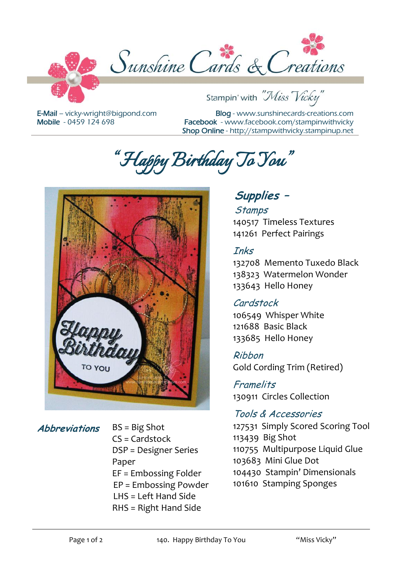

E-Mail – [vicky-wright@bigpond.com](mailto:vicky-wright@bigpond.com) Mobile - 0459 124 698

Blog - [www.sunshinecards-creations.com](http://www.stampspapernstuff.blogspot.com/) Facebook - [www.facebook.com/stampinwithvicky](http://www.facebook.com/stampinwithvicky) Shop Online - http://stampwithvicky.stampinup.net

*"Happy Birthday To You"* 



**Abbreviations** BS = Big Shot  $CS =$ Cardstock DSP = Designer Series Paper EF = Embossing Folder EP = Embossing Powder LHS = Left Hand Side RHS = Right Hand Side

# **Supplies –**

#### **Stamps**

140517 Timeless Textures 141261 Perfect Pairings

### Inks

132708 Memento Tuxedo Black 138323 Watermelon Wonder 133643 Hello Honey

## Cardstock

106549 Whisper White 121688 Basic Black 133685 Hello Honey

Ribbon Gold Cording Trim (Retired)

#### Framelits 130911 Circles Collection

## Tools & Accessories

127531 Simply Scored Scoring Tool 113439 Big Shot 110755 Multipurpose Liquid Glue 103683 Mini Glue Dot 104430 Stampin' Dimensionals 101610 Stamping Sponges